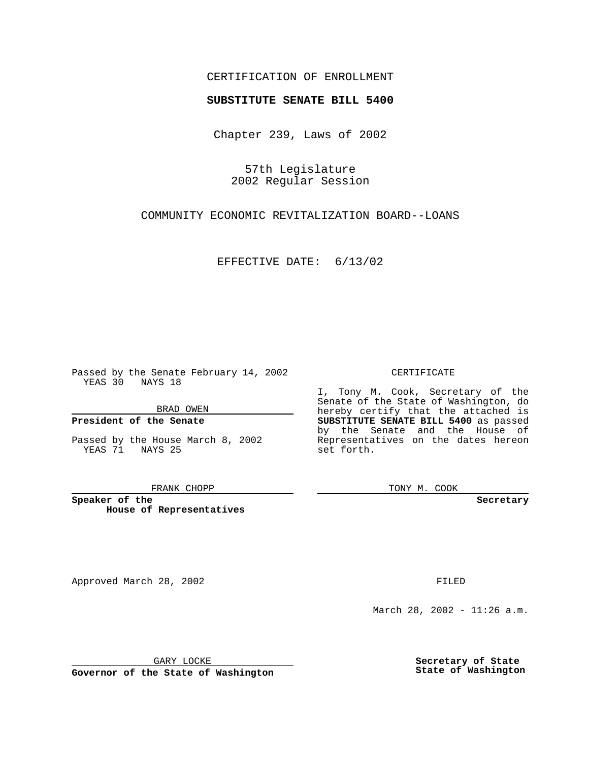## CERTIFICATION OF ENROLLMENT

# **SUBSTITUTE SENATE BILL 5400**

Chapter 239, Laws of 2002

57th Legislature 2002 Regular Session

COMMUNITY ECONOMIC REVITALIZATION BOARD--LOANS

EFFECTIVE DATE: 6/13/02

Passed by the Senate February 14, 2002 YEAS 30 NAYS 18

BRAD OWEN

### **President of the Senate**

Passed by the House March 8, 2002 YEAS 71 NAYS 25

#### FRANK CHOPP

**Speaker of the House of Representatives**

Approved March 28, 2002 **FILED** 

### CERTIFICATE

I, Tony M. Cook, Secretary of the Senate of the State of Washington, do hereby certify that the attached is **SUBSTITUTE SENATE BILL 5400** as passed by the Senate and the House of Representatives on the dates hereon set forth.

TONY M. COOK

**Secretary**

March 28, 2002 - 11:26 a.m.

GARY LOCKE

**Governor of the State of Washington**

**Secretary of State State of Washington**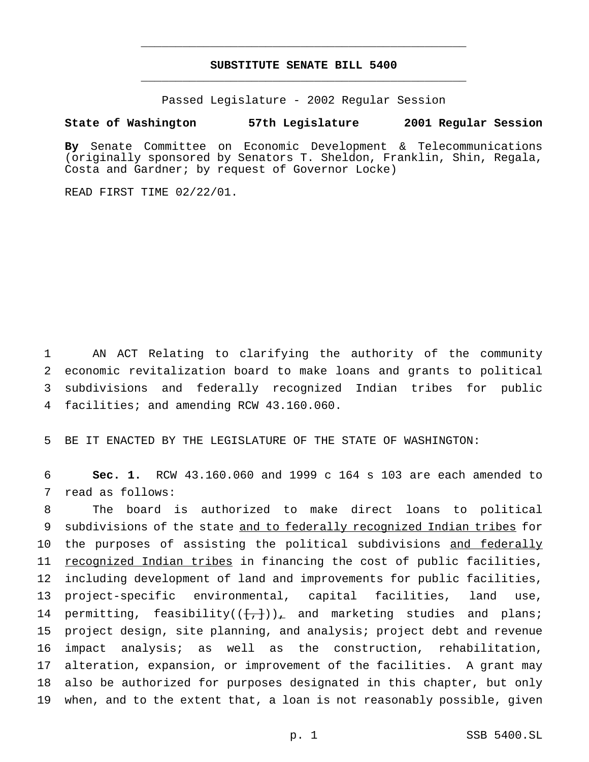## **SUBSTITUTE SENATE BILL 5400** \_\_\_\_\_\_\_\_\_\_\_\_\_\_\_\_\_\_\_\_\_\_\_\_\_\_\_\_\_\_\_\_\_\_\_\_\_\_\_\_\_\_\_\_\_\_\_

\_\_\_\_\_\_\_\_\_\_\_\_\_\_\_\_\_\_\_\_\_\_\_\_\_\_\_\_\_\_\_\_\_\_\_\_\_\_\_\_\_\_\_\_\_\_\_

Passed Legislature - 2002 Regular Session

### **State of Washington 57th Legislature 2001 Regular Session**

**By** Senate Committee on Economic Development & Telecommunications (originally sponsored by Senators T. Sheldon, Franklin, Shin, Regala, Costa and Gardner; by request of Governor Locke)

READ FIRST TIME 02/22/01.

 AN ACT Relating to clarifying the authority of the community economic revitalization board to make loans and grants to political subdivisions and federally recognized Indian tribes for public facilities; and amending RCW 43.160.060.

5 BE IT ENACTED BY THE LEGISLATURE OF THE STATE OF WASHINGTON:

6 **Sec. 1.** RCW 43.160.060 and 1999 c 164 s 103 are each amended to 7 read as follows:

 The board is authorized to make direct loans to political 9 subdivisions of the state and to federally recognized Indian tribes for 10 the purposes of assisting the political subdivisions and federally recognized Indian tribes in financing the cost of public facilities, including development of land and improvements for public facilities, project-specific environmental, capital facilities, land use, 14 permitting, feasibility( $(\{+, \})_+$  and marketing studies and plans; project design, site planning, and analysis; project debt and revenue impact analysis; as well as the construction, rehabilitation, alteration, expansion, or improvement of the facilities. A grant may also be authorized for purposes designated in this chapter, but only when, and to the extent that, a loan is not reasonably possible, given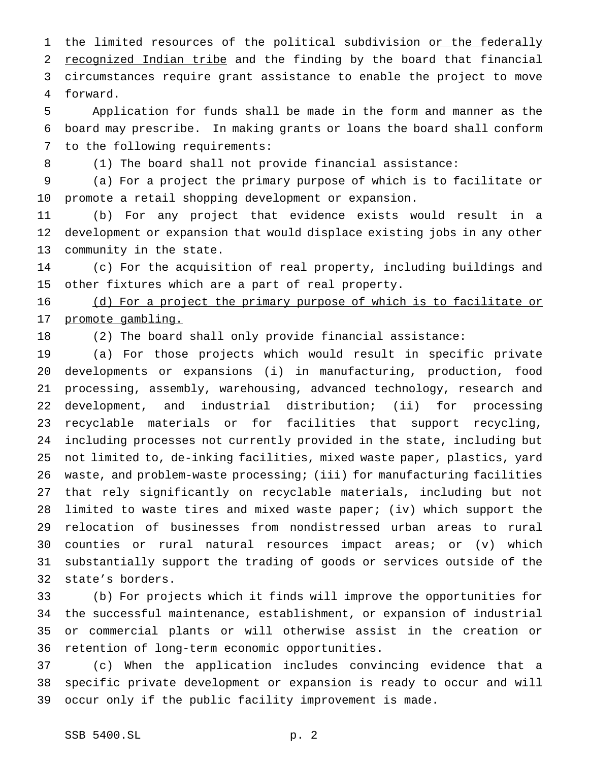1 the limited resources of the political subdivision or the federally 2 recognized Indian tribe and the finding by the board that financial circumstances require grant assistance to enable the project to move forward.

 Application for funds shall be made in the form and manner as the board may prescribe. In making grants or loans the board shall conform to the following requirements:

8 (1) The board shall not provide financial assistance:

 (a) For a project the primary purpose of which is to facilitate or promote a retail shopping development or expansion.

 (b) For any project that evidence exists would result in a development or expansion that would displace existing jobs in any other community in the state.

 (c) For the acquisition of real property, including buildings and other fixtures which are a part of real property.

 (d) For a project the primary purpose of which is to facilitate or promote gambling.

(2) The board shall only provide financial assistance:

 (a) For those projects which would result in specific private developments or expansions (i) in manufacturing, production, food processing, assembly, warehousing, advanced technology, research and development, and industrial distribution; (ii) for processing recyclable materials or for facilities that support recycling, including processes not currently provided in the state, including but not limited to, de-inking facilities, mixed waste paper, plastics, yard waste, and problem-waste processing; (iii) for manufacturing facilities that rely significantly on recyclable materials, including but not limited to waste tires and mixed waste paper; (iv) which support the relocation of businesses from nondistressed urban areas to rural counties or rural natural resources impact areas; or (v) which substantially support the trading of goods or services outside of the state's borders.

 (b) For projects which it finds will improve the opportunities for the successful maintenance, establishment, or expansion of industrial or commercial plants or will otherwise assist in the creation or retention of long-term economic opportunities.

 (c) When the application includes convincing evidence that a specific private development or expansion is ready to occur and will occur only if the public facility improvement is made.